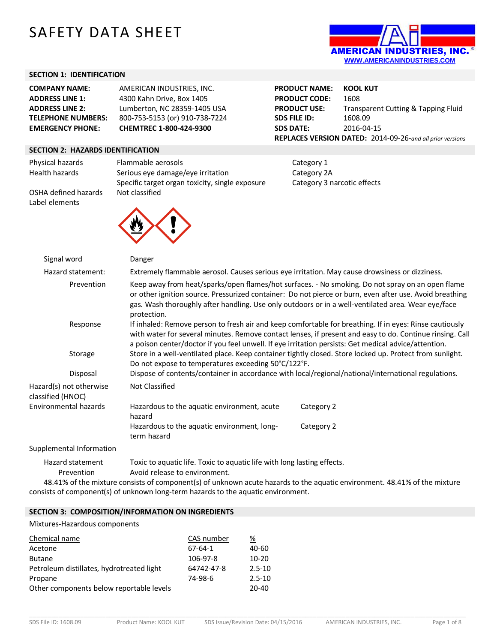# SAFETY DATA SHEET



**PRODUCT USE:** Transparent Cutting & Tapping Fluid

**PRODUCT NAME: KOOL KUT PRODUCT CODE:** 1608

**SDS FILE ID:** 1608.09 **SDS DATE:** 2016-04-15

## **SECTION 1: IDENTIFICATION**

| <b>COMPANY NAME:</b>      | AMERICAN INDUSTRIES, INC.      |
|---------------------------|--------------------------------|
| <b>ADDRESS LINE 1:</b>    | 4300 Kahn Drive, Box 1405      |
| <b>ADDRESS LINE 2:</b>    | Lumberton, NC 28359-1405 USA   |
| <b>TELEPHONE NUMBERS:</b> | 800-753-5153 (or) 910-738-7224 |
| <b>EMERGENCY PHONE:</b>   | CHEMTREC 1-800-424-9300        |

### **SECTION 2: HAZARDS IDENTIFICATION**

**REPLACES VERSION DATED:** 2014-09-26-*and all prior versions* Physical hazards Flammable aerosols **Flammable and Category 1** Health hazards Serious eye damage/eye irritation Category 2A Specific target organ toxicity, single exposure Category 3 narcotic effects

OSHA defined hazards Not classified Label elements



| Signal word                                  | Danger                                                                                                                                                                                                                                                                                                                           |            |  |
|----------------------------------------------|----------------------------------------------------------------------------------------------------------------------------------------------------------------------------------------------------------------------------------------------------------------------------------------------------------------------------------|------------|--|
| Hazard statement:                            | Extremely flammable aerosol. Causes serious eye irritation. May cause drowsiness or dizziness.                                                                                                                                                                                                                                   |            |  |
| Prevention                                   | Keep away from heat/sparks/open flames/hot surfaces. - No smoking. Do not spray on an open flame<br>or other ignition source. Pressurized container: Do not pierce or burn, even after use. Avoid breathing<br>gas. Wash thoroughly after handling. Use only outdoors or in a well-ventilated area. Wear eye/face<br>protection. |            |  |
| Response                                     | If inhaled: Remove person to fresh air and keep comfortable for breathing. If in eyes: Rinse cautiously<br>with water for several minutes. Remove contact lenses, if present and easy to do. Continue rinsing. Call<br>a poison center/doctor if you feel unwell. If eye irritation persists: Get medical advice/attention.      |            |  |
| Storage                                      | Store in a well-ventilated place. Keep container tightly closed. Store locked up. Protect from sunlight.<br>Do not expose to temperatures exceeding 50°C/122°F.                                                                                                                                                                  |            |  |
| Disposal                                     | Dispose of contents/container in accordance with local/regional/national/international regulations.                                                                                                                                                                                                                              |            |  |
| Hazard(s) not otherwise<br>classified (HNOC) | <b>Not Classified</b>                                                                                                                                                                                                                                                                                                            |            |  |
| Environmental hazards                        | Hazardous to the aquatic environment, acute<br>hazard                                                                                                                                                                                                                                                                            | Category 2 |  |
|                                              | Hazardous to the aquatic environment, long-<br>term hazard                                                                                                                                                                                                                                                                       | Category 2 |  |
| Supplemental Information                     |                                                                                                                                                                                                                                                                                                                                  |            |  |
| Hazard statement<br>Prevention               | Toxic to aquatic life. Toxic to aquatic life with long lasting effects.<br>Avoid release to environment.                                                                                                                                                                                                                         |            |  |

48.41% of the mixture consists of component(s) of unknown acute hazards to the aquatic environment. 48.41% of the mixture consists of component(s) of unknown long-term hazards to the aquatic environment.

## **SECTION 3: COMPOSITION/INFORMATION ON INGREDIENTS**

Mixtures-Hazardous components

| Chemical name                             | CAS number | %          |
|-------------------------------------------|------------|------------|
| Acetone                                   | 67-64-1    | 40-60      |
| <b>Butane</b>                             | 106-97-8   | $10-20$    |
| Petroleum distillates, hydrotreated light | 64742-47-8 | $2.5 - 10$ |
| Propane                                   | 74-98-6    | $2.5 - 10$ |
| Other components below reportable levels  |            | 20-40      |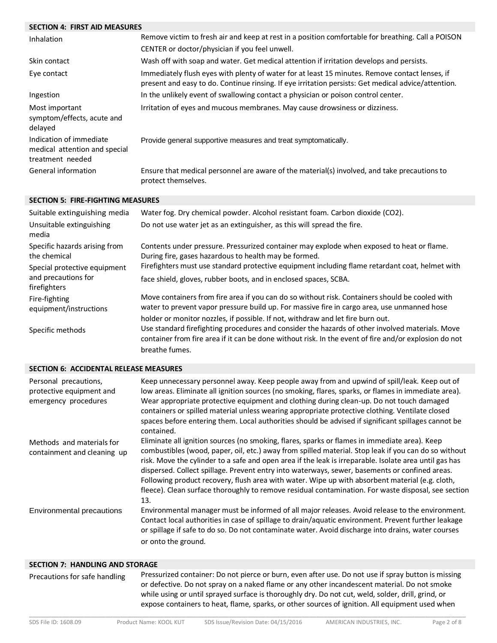# **SECTION 4: FIRST AID MEASURES**

| Inhalation                                                                   | Remove victim to fresh air and keep at rest in a position comfortable for breathing. Call a POISON                                                                                                    |
|------------------------------------------------------------------------------|-------------------------------------------------------------------------------------------------------------------------------------------------------------------------------------------------------|
|                                                                              | CENTER or doctor/physician if you feel unwell.                                                                                                                                                        |
| Skin contact                                                                 | Wash off with soap and water. Get medical attention if irritation develops and persists.                                                                                                              |
| Eye contact                                                                  | Immediately flush eyes with plenty of water for at least 15 minutes. Remove contact lenses, if<br>present and easy to do. Continue rinsing. If eye irritation persists: Get medical advice/attention. |
| Ingestion                                                                    | In the unlikely event of swallowing contact a physician or poison control center.                                                                                                                     |
| Most important<br>symptom/effects, acute and<br>delayed                      | Irritation of eyes and mucous membranes. May cause drowsiness or dizziness.                                                                                                                           |
| Indication of immediate<br>medical attention and special<br>treatment needed | Provide general supportive measures and treat symptomatically.                                                                                                                                        |
| General information                                                          | Ensure that medical personnel are aware of the material(s) involved, and take precautions to<br>protect themselves.                                                                                   |

## **SECTION 5: FIRE-FIGHTING MEASURES**

| Suitable extinguishing media                  | Water fog. Dry chemical powder. Alcohol resistant foam. Carbon dioxide (CO2).                                                                                                                            |
|-----------------------------------------------|----------------------------------------------------------------------------------------------------------------------------------------------------------------------------------------------------------|
| Unsuitable extinguishing<br>media             | Do not use water jet as an extinguisher, as this will spread the fire.                                                                                                                                   |
| Specific hazards arising from<br>the chemical | Contents under pressure. Pressurized container may explode when exposed to heat or flame.<br>During fire, gases hazardous to health may be formed.                                                       |
| Special protective equipment                  | Firefighters must use standard protective equipment including flame retardant coat, helmet with                                                                                                          |
| and precautions for<br>firefighters           | face shield, gloves, rubber boots, and in enclosed spaces, SCBA.                                                                                                                                         |
| Fire-fighting<br>equipment/instructions       | Move containers from fire area if you can do so without risk. Containers should be cooled with<br>water to prevent vapor pressure build up. For massive fire in cargo area, use unmanned hose            |
|                                               | holder or monitor nozzles, if possible. If not, withdraw and let fire burn out.                                                                                                                          |
| Specific methods                              | Use standard firefighting procedures and consider the hazards of other involved materials. Move<br>container from fire area if it can be done without risk. In the event of fire and/or explosion do not |
|                                               | breathe fumes.                                                                                                                                                                                           |

#### **SECTION 6: ACCIDENTAL RELEASE MEASURES**

| Personal precautions,<br>protective equipment and<br>emergency procedures | Keep unnecessary personnel away. Keep people away from and upwind of spill/leak. Keep out of<br>low areas. Eliminate all ignition sources (no smoking, flares, sparks, or flames in immediate area).<br>Wear appropriate protective equipment and clothing during clean-up. Do not touch damaged<br>containers or spilled material unless wearing appropriate protective clothing. Ventilate closed<br>spaces before entering them. Local authorities should be advised if significant spillages cannot be<br>contained.                                                                                                           |
|---------------------------------------------------------------------------|------------------------------------------------------------------------------------------------------------------------------------------------------------------------------------------------------------------------------------------------------------------------------------------------------------------------------------------------------------------------------------------------------------------------------------------------------------------------------------------------------------------------------------------------------------------------------------------------------------------------------------|
| Methods and materials for<br>containment and cleaning up                  | Eliminate all ignition sources (no smoking, flares, sparks or flames in immediate area). Keep<br>combustibles (wood, paper, oil, etc.) away from spilled material. Stop leak if you can do so without<br>risk. Move the cylinder to a safe and open area if the leak is irreparable. Isolate area until gas has<br>dispersed. Collect spillage. Prevent entry into waterways, sewer, basements or confined areas.<br>Following product recovery, flush area with water. Wipe up with absorbent material (e.g. cloth,<br>fleece). Clean surface thoroughly to remove residual contamination. For waste disposal, see section<br>13. |
| Environmental precautions                                                 | Environmental manager must be informed of all major releases. Avoid release to the environment.<br>Contact local authorities in case of spillage to drain/aquatic environment. Prevent further leakage<br>or spillage if safe to do so. Do not contaminate water. Avoid discharge into drains, water courses<br>or onto the ground.                                                                                                                                                                                                                                                                                                |

#### **SECTION 7: HANDLING AND STORAGE**

Precautions for safe handling Pressurized container: Do not pierce or burn, even after use. Do not use if spray button is missing or defective. Do not spray on a naked flame or any other incandescent material. Do not smoke while using or until sprayed surface is thoroughly dry. Do not cut, weld, solder, drill, grind, or expose containers to heat, flame, sparks, or other sources of ignition. All equipment used when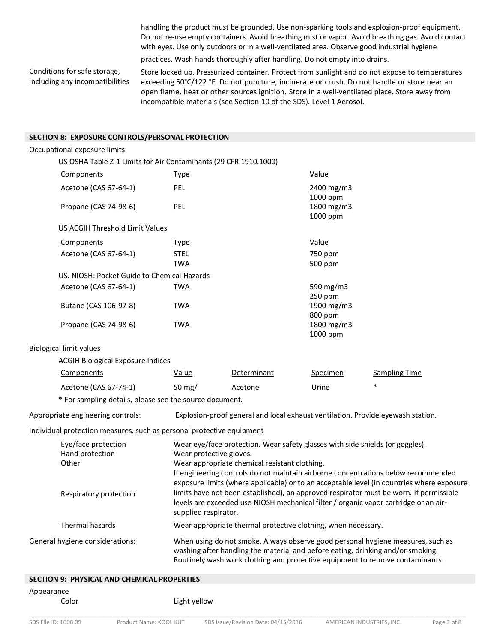handling the product must be grounded. Use non-sparking tools and explosion-proof equipment. Do not re-use empty containers. Avoid breathing mist or vapor. Avoid breathing gas. Avoid contact with eyes. Use only outdoors or in a well-ventilated area. Observe good industrial hygiene

practices. Wash hands thoroughly after handling. Do not empty into drains.

Conditions for safe storage, including any incompatibilities

Store locked up. Pressurized container. Protect from sunlight and do not expose to temperatures exceeding 50°C/122 °F. Do not puncture, incinerate or crush. Do not handle or store near an open flame, heat or other sources ignition. Store in a well-ventilated place. Store away from incompatible materials (see Section 10 of the SDS). Level 1 Aerosol.

# **SECTION 8: EXPOSURE CONTROLS/PERSONAL PROTECTION**

| SECTION 8: EXPOSURE CONTROLS/PERSONAL PROTECTION                      |                                                                                                                                                                                                                                                                                                                                             |                                                               |                                     |                                                                                                                                                                                |
|-----------------------------------------------------------------------|---------------------------------------------------------------------------------------------------------------------------------------------------------------------------------------------------------------------------------------------------------------------------------------------------------------------------------------------|---------------------------------------------------------------|-------------------------------------|--------------------------------------------------------------------------------------------------------------------------------------------------------------------------------|
| Occupational exposure limits                                          |                                                                                                                                                                                                                                                                                                                                             |                                                               |                                     |                                                                                                                                                                                |
| US OSHA Table Z-1 Limits for Air Contaminants (29 CFR 1910.1000)      |                                                                                                                                                                                                                                                                                                                                             |                                                               |                                     |                                                                                                                                                                                |
| Components                                                            | <b>Type</b>                                                                                                                                                                                                                                                                                                                                 |                                                               | Value                               |                                                                                                                                                                                |
| Acetone (CAS 67-64-1)                                                 | PEL                                                                                                                                                                                                                                                                                                                                         |                                                               | 2400 mg/m3<br>1000 ppm              |                                                                                                                                                                                |
| Propane (CAS 74-98-6)                                                 | PEL                                                                                                                                                                                                                                                                                                                                         |                                                               | 1800 mg/m3<br>1000 ppm              |                                                                                                                                                                                |
| US ACGIH Threshold Limit Values                                       |                                                                                                                                                                                                                                                                                                                                             |                                                               |                                     |                                                                                                                                                                                |
| Components                                                            | <u>Type</u>                                                                                                                                                                                                                                                                                                                                 |                                                               | Value                               |                                                                                                                                                                                |
| Acetone (CAS 67-64-1)                                                 | <b>STEL</b><br><b>TWA</b>                                                                                                                                                                                                                                                                                                                   |                                                               | 750 ppm<br>500 ppm                  |                                                                                                                                                                                |
| US. NIOSH: Pocket Guide to Chemical Hazards                           |                                                                                                                                                                                                                                                                                                                                             |                                                               |                                     |                                                                                                                                                                                |
| Acetone (CAS 67-64-1)                                                 | <b>TWA</b>                                                                                                                                                                                                                                                                                                                                  |                                                               | 590 mg/m3<br>250 ppm                |                                                                                                                                                                                |
| Butane (CAS 106-97-8)<br>Propane (CAS 74-98-6)                        | <b>TWA</b><br><b>TWA</b>                                                                                                                                                                                                                                                                                                                    |                                                               | 1900 mg/m3<br>800 ppm<br>1800 mg/m3 |                                                                                                                                                                                |
|                                                                       |                                                                                                                                                                                                                                                                                                                                             |                                                               | 1000 ppm                            |                                                                                                                                                                                |
| <b>Biological limit values</b>                                        |                                                                                                                                                                                                                                                                                                                                             |                                                               |                                     |                                                                                                                                                                                |
| <b>ACGIH Biological Exposure Indices</b>                              |                                                                                                                                                                                                                                                                                                                                             |                                                               |                                     |                                                                                                                                                                                |
| Components                                                            | <u>Value</u>                                                                                                                                                                                                                                                                                                                                | Determinant                                                   | Specimen                            | <b>Sampling Time</b>                                                                                                                                                           |
| Acetone (CAS 67-74-1)                                                 | 50 mg/l                                                                                                                                                                                                                                                                                                                                     | Acetone                                                       | Urine                               | $\ast$                                                                                                                                                                         |
| * For sampling details, please see the source document.               |                                                                                                                                                                                                                                                                                                                                             |                                                               |                                     |                                                                                                                                                                                |
| Appropriate engineering controls:                                     |                                                                                                                                                                                                                                                                                                                                             |                                                               |                                     | Explosion-proof general and local exhaust ventilation. Provide eyewash station.                                                                                                |
| Individual protection measures, such as personal protective equipment |                                                                                                                                                                                                                                                                                                                                             |                                                               |                                     |                                                                                                                                                                                |
| Eye/face protection<br>Hand protection<br>Other                       | Wear eye/face protection. Wear safety glasses with side shields (or goggles).<br>Wear protective gloves.<br>Wear appropriate chemical resistant clothing.<br>If engineering controls do not maintain airborne concentrations below recommended<br>exposure limits (where applicable) or to an acceptable level (in countries where exposure |                                                               |                                     |                                                                                                                                                                                |
| Respiratory protection                                                | supplied respirator.                                                                                                                                                                                                                                                                                                                        |                                                               |                                     | limits have not been established), an approved respirator must be worn. If permissible<br>levels are exceeded use NIOSH mechanical filter / organic vapor cartridge or an air- |
| Thermal hazards                                                       |                                                                                                                                                                                                                                                                                                                                             | Wear appropriate thermal protective clothing, when necessary. |                                     |                                                                                                                                                                                |
| General hygiene considerations:                                       |                                                                                                                                                                                                                                                                                                                                             |                                                               |                                     | When using do not smoke. Always observe good personal hygiene measures, such as<br>washing after handling the material and before eating, drinking and/or smoking.             |

#### **SECTION 9: PHYSICAL AND CHEMICAL PROPERTIES**

Routinely wash work clothing and protective equipment to remove contaminants.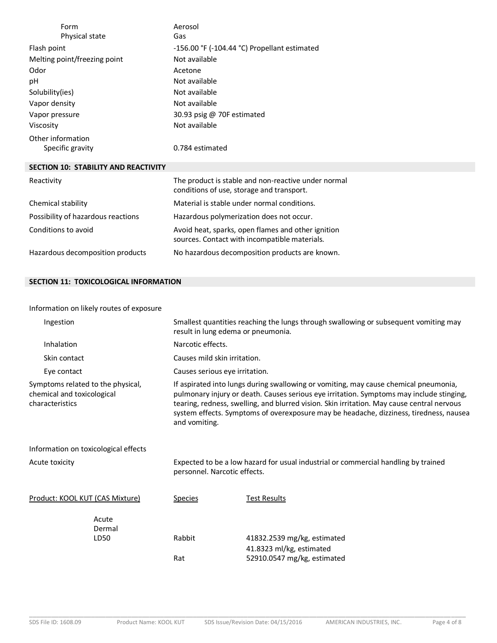| Form<br>Physical state                      | Aerosol<br>Gas                                                                                      |
|---------------------------------------------|-----------------------------------------------------------------------------------------------------|
| Flash point                                 | $-156.00$ °F ( $-104.44$ °C) Propellant estimated                                                   |
| Melting point/freezing point                | Not available                                                                                       |
| Odor                                        | Acetone                                                                                             |
| рH                                          | Not available                                                                                       |
| Solubility(ies)                             | Not available                                                                                       |
| Vapor density                               | Not available                                                                                       |
| Vapor pressure                              | 30.93 psig @ 70F estimated                                                                          |
| Viscosity                                   | Not available                                                                                       |
| Other information<br>Specific gravity       | 0.784 estimated                                                                                     |
| <b>SECTION 10: STABILITY AND REACTIVITY</b> |                                                                                                     |
| Reactivity                                  | The product is stable and non-reactive under normal<br>conditions of use, storage and transport.    |
| Chemical stability                          | Material is stable under normal conditions.                                                         |
| Possibility of hazardous reactions          | Hazardous polymerization does not occur.                                                            |
| Conditions to avoid                         | Avoid heat, sparks, open flames and other ignition<br>sources. Contact with incompatible materials. |
| Hazardous decomposition products            | No hazardous decomposition products are known.                                                      |

# **SECTION 11: TOXICOLOGICAL INFORMATION**

# Information on likely routes of exposure

| Ingestion                                                                          | Smallest quantities reaching the lungs through swallowing or subsequent vomiting may<br>result in lung edema or pneumonia.                                                                                                                                                                                                                                                                |                                                         |  |  |
|------------------------------------------------------------------------------------|-------------------------------------------------------------------------------------------------------------------------------------------------------------------------------------------------------------------------------------------------------------------------------------------------------------------------------------------------------------------------------------------|---------------------------------------------------------|--|--|
| Inhalation                                                                         |                                                                                                                                                                                                                                                                                                                                                                                           | Narcotic effects.                                       |  |  |
| Skin contact                                                                       | Causes mild skin irritation.                                                                                                                                                                                                                                                                                                                                                              |                                                         |  |  |
| Eye contact                                                                        |                                                                                                                                                                                                                                                                                                                                                                                           | Causes serious eye irritation.                          |  |  |
| Symptoms related to the physical,<br>chemical and toxicological<br>characteristics | If aspirated into lungs during swallowing or vomiting, may cause chemical pneumonia,<br>pulmonary injury or death. Causes serious eye irritation. Symptoms may include stinging,<br>tearing, redness, swelling, and blurred vision. Skin irritation. May cause central nervous<br>system effects. Symptoms of overexposure may be headache, dizziness, tiredness, nausea<br>and vomiting. |                                                         |  |  |
| Information on toxicological effects                                               |                                                                                                                                                                                                                                                                                                                                                                                           |                                                         |  |  |
| Acute toxicity                                                                     | Expected to be a low hazard for usual industrial or commercial handling by trained<br>personnel. Narcotic effects.                                                                                                                                                                                                                                                                        |                                                         |  |  |
| Product: KOOL KUT (CAS Mixture)                                                    | <b>Species</b>                                                                                                                                                                                                                                                                                                                                                                            | <b>Test Results</b>                                     |  |  |
| Acute<br>Dermal                                                                    |                                                                                                                                                                                                                                                                                                                                                                                           |                                                         |  |  |
| LD50                                                                               | Rabbit                                                                                                                                                                                                                                                                                                                                                                                    | 41832.2539 mg/kg, estimated                             |  |  |
|                                                                                    | Rat                                                                                                                                                                                                                                                                                                                                                                                       | 41.8323 ml/kg, estimated<br>52910.0547 mg/kg, estimated |  |  |

\_\_\_\_\_\_\_\_\_\_\_\_\_\_\_\_\_\_\_\_\_\_\_\_\_\_\_\_\_\_\_\_\_\_\_\_\_\_\_\_\_\_\_\_\_\_\_\_\_\_\_\_\_\_\_\_\_\_\_\_\_\_\_\_\_\_\_\_\_\_\_\_\_\_\_\_\_\_\_\_\_\_\_\_\_\_\_\_\_\_\_\_\_\_\_\_\_\_\_\_\_\_\_\_\_\_\_\_\_\_\_\_\_\_\_\_\_\_\_\_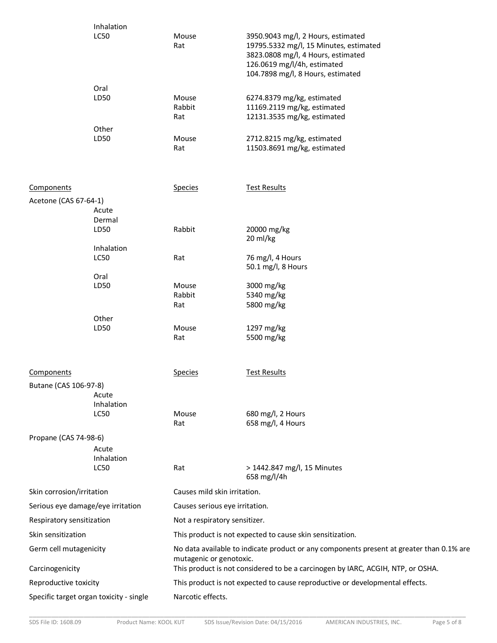| Inhalation  |              |                                                                                                                                                                                        |
|-------------|--------------|----------------------------------------------------------------------------------------------------------------------------------------------------------------------------------------|
| <b>LC50</b> | Mouse<br>Rat | 3950.9043 mg/l, 2 Hours, estimated<br>19795.5332 mg/l, 15 Minutes, estimated<br>3823.0808 mg/l, 4 Hours, estimated<br>126.0619 mg/l/4h, estimated<br>104.7898 mg/l, 8 Hours, estimated |
| Oral        |              |                                                                                                                                                                                        |
| LD50        | Mouse        | 6274.8379 mg/kg, estimated                                                                                                                                                             |
|             | Rabbit       | 11169.2119 mg/kg, estimated                                                                                                                                                            |
|             | Rat          | 12131.3535 mg/kg, estimated                                                                                                                                                            |
| Other       |              |                                                                                                                                                                                        |
| LD50        | Mouse        | 2712.8215 mg/kg, estimated                                                                                                                                                             |
|             | Rat          | 11503.8691 mg/kg, estimated                                                                                                                                                            |
|             |              |                                                                                                                                                                                        |

| Components                                                                                                                                    |                                   | <b>Species</b>                 | <b>Test Results</b>                                                             |  |  |
|-----------------------------------------------------------------------------------------------------------------------------------------------|-----------------------------------|--------------------------------|---------------------------------------------------------------------------------|--|--|
| Acetone (CAS 67-64-1)                                                                                                                         |                                   |                                |                                                                                 |  |  |
|                                                                                                                                               | Acute                             |                                |                                                                                 |  |  |
|                                                                                                                                               | Dermal<br>LD50                    | Rabbit                         | 20000 mg/kg                                                                     |  |  |
|                                                                                                                                               |                                   |                                | 20 ml/kg                                                                        |  |  |
|                                                                                                                                               | Inhalation                        |                                |                                                                                 |  |  |
|                                                                                                                                               | <b>LC50</b>                       | Rat                            | 76 mg/l, 4 Hours<br>50.1 mg/l, 8 Hours                                          |  |  |
|                                                                                                                                               | Oral                              |                                |                                                                                 |  |  |
|                                                                                                                                               | LD50                              | Mouse                          | 3000 mg/kg                                                                      |  |  |
|                                                                                                                                               |                                   | Rabbit                         | 5340 mg/kg                                                                      |  |  |
|                                                                                                                                               |                                   | Rat                            | 5800 mg/kg                                                                      |  |  |
|                                                                                                                                               | Other                             |                                |                                                                                 |  |  |
|                                                                                                                                               | LD50                              | Mouse                          | 1297 mg/kg                                                                      |  |  |
|                                                                                                                                               |                                   | Rat                            | 5500 mg/kg                                                                      |  |  |
| Components                                                                                                                                    |                                   | <b>Species</b>                 | <b>Test Results</b>                                                             |  |  |
| Butane (CAS 106-97-8)                                                                                                                         |                                   |                                |                                                                                 |  |  |
|                                                                                                                                               | Acute                             |                                |                                                                                 |  |  |
|                                                                                                                                               | Inhalation                        |                                |                                                                                 |  |  |
|                                                                                                                                               | <b>LC50</b>                       | Mouse                          | 680 mg/l, 2 Hours                                                               |  |  |
|                                                                                                                                               |                                   | Rat                            | 658 mg/l, 4 Hours                                                               |  |  |
| Propane (CAS 74-98-6)                                                                                                                         |                                   |                                |                                                                                 |  |  |
|                                                                                                                                               | Acute                             |                                |                                                                                 |  |  |
|                                                                                                                                               | Inhalation                        |                                |                                                                                 |  |  |
|                                                                                                                                               | <b>LC50</b>                       | Rat                            | > 1442.847 mg/l, 15 Minutes<br>658 mg/l/4h                                      |  |  |
| Skin corrosion/irritation                                                                                                                     |                                   |                                | Causes mild skin irritation.                                                    |  |  |
|                                                                                                                                               | Serious eye damage/eye irritation | Causes serious eye irritation. |                                                                                 |  |  |
| Respiratory sensitization<br>Not a respiratory sensitizer.                                                                                    |                                   |                                |                                                                                 |  |  |
| Skin sensitization<br>This product is not expected to cause skin sensitization.                                                               |                                   |                                |                                                                                 |  |  |
| No data available to indicate product or any components present at greater than 0.1% are<br>Germ cell mutagenicity<br>mutagenic or genotoxic. |                                   |                                |                                                                                 |  |  |
| Carcinogenicity                                                                                                                               |                                   |                                | This product is not considered to be a carcinogen by IARC, ACGIH, NTP, or OSHA. |  |  |
| Reproductive toxicity                                                                                                                         |                                   |                                | This product is not expected to cause reproductive or developmental effects.    |  |  |

Specific target organ toxicity - single Marcotic effects.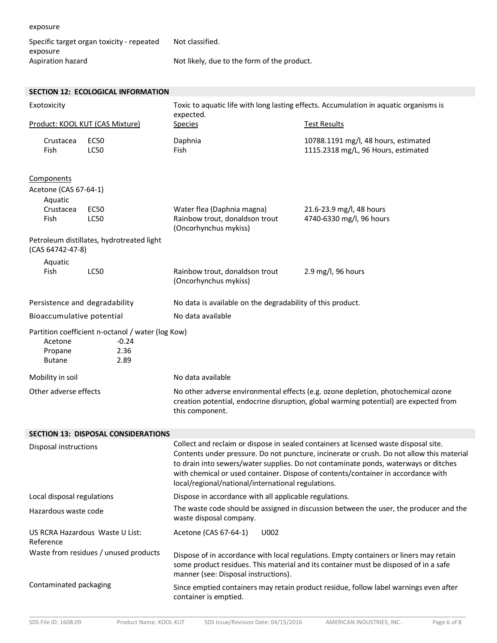| exposure                                              |                                             |                                                                                       |
|-------------------------------------------------------|---------------------------------------------|---------------------------------------------------------------------------------------|
| Specific target organ toxicity - repeated<br>exposure | Not classified.                             |                                                                                       |
| Aspiration hazard                                     | Not likely, due to the form of the product. |                                                                                       |
|                                                       |                                             |                                                                                       |
| SECTION 12: ECOLOGICAL INFORMATION                    |                                             |                                                                                       |
| Exotoxicity                                           | expected.                                   | Toxic to aquatic life with long lasting effects. Accumulation in aquatic organisms is |
| Product: KOOL KUT (CAS Mixture)                       | <b>Species</b>                              | <b>Test Results</b>                                                                   |
| EC50<br>Crustacea                                     | Daphnia                                     | 10788.1191 mg/l, 48 hours, estimated                                                  |

1115.2318 mg/L, 96 Hours, estimated

| Components            |                                           |                                                         |                          |
|-----------------------|-------------------------------------------|---------------------------------------------------------|--------------------------|
| Acetone (CAS 67-64-1) |                                           |                                                         |                          |
| Aquatic               |                                           |                                                         |                          |
| Crustacea             | EC50                                      | Water flea (Daphnia magna)                              | 21.6-23.9 mg/l, 48 hours |
| Fish                  | LC50                                      | Rainbow trout, donaldson trout<br>(Oncorhynchus mykiss) | 4740-6330 mg/l, 96 hours |
|                       | Petroleum distillates, hydrotreated light |                                                         |                          |
| (CAS 64742-47-8)      |                                           |                                                         |                          |

Fish

Fish LC50

| Aquatic<br>Fish                                   | LC50    | Rainbow trout, donaldson trout<br>(Oncorhynchus mykiss) | $2.9 \text{ mg/l}$ , 96 hours                              |  |  |
|---------------------------------------------------|---------|---------------------------------------------------------|------------------------------------------------------------|--|--|
| Persistence and degradability                     |         |                                                         | No data is available on the degradability of this product. |  |  |
| Bioaccumulative potential                         |         | No data available                                       |                                                            |  |  |
| Partition coefficient n-octanol / water (log Kow) |         |                                                         |                                                            |  |  |
| Acetone                                           | $-0.24$ |                                                         |                                                            |  |  |
| Propane                                           | 2.36    |                                                         |                                                            |  |  |
| <b>Butane</b>                                     | 2.89    |                                                         |                                                            |  |  |

| Mobility in soil      | No data available                                                                                                                                                                             |
|-----------------------|-----------------------------------------------------------------------------------------------------------------------------------------------------------------------------------------------|
| Other adverse effects | No other adverse environmental effects (e.g. ozone depletion, photochemical ozone<br>creation potential, endocrine disruption, global warming potential) are expected from<br>this component. |

| SECTION 13: DISPOSAL CONSIDERATIONS          |                                                                                                                                                                                                                                                                                                                                                                                                                     |  |  |
|----------------------------------------------|---------------------------------------------------------------------------------------------------------------------------------------------------------------------------------------------------------------------------------------------------------------------------------------------------------------------------------------------------------------------------------------------------------------------|--|--|
| Disposal instructions                        | Collect and reclaim or dispose in sealed containers at licensed waste disposal site.<br>Contents under pressure. Do not puncture, incinerate or crush. Do not allow this material<br>to drain into sewers/water supplies. Do not contaminate ponds, waterways or ditches<br>with chemical or used container. Dispose of contents/container in accordance with<br>local/regional/national/international regulations. |  |  |
| Local disposal regulations                   | Dispose in accordance with all applicable regulations.                                                                                                                                                                                                                                                                                                                                                              |  |  |
| Hazardous waste code                         | The waste code should be assigned in discussion between the user, the producer and the<br>waste disposal company.                                                                                                                                                                                                                                                                                                   |  |  |
| US RCRA Hazardous Waste U List:<br>Reference | Acetone (CAS 67-64-1)<br>U002                                                                                                                                                                                                                                                                                                                                                                                       |  |  |
| Waste from residues / unused products        | Dispose of in accordance with local regulations. Empty containers or liners may retain<br>some product residues. This material and its container must be disposed of in a safe<br>manner (see: Disposal instructions).                                                                                                                                                                                              |  |  |
| Contaminated packaging                       | Since emptied containers may retain product residue, follow label warnings even after<br>container is emptied.                                                                                                                                                                                                                                                                                                      |  |  |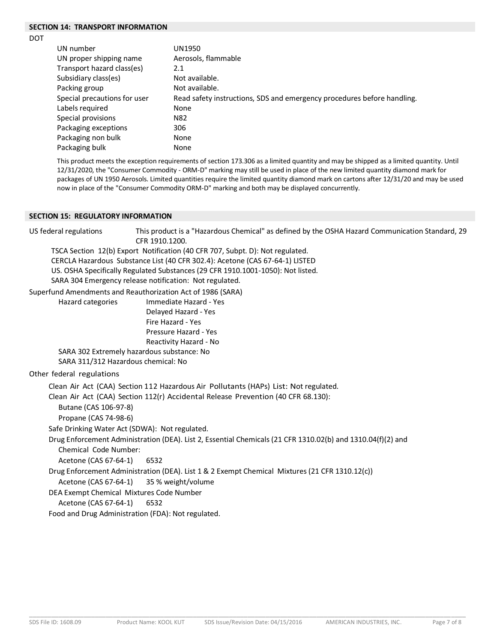# **SECTION 14: TRANSPORT INFORMATION**

DOT

| UN number                    | UN1950                                                                  |
|------------------------------|-------------------------------------------------------------------------|
| UN proper shipping name      | Aerosols, flammable                                                     |
| Transport hazard class(es)   | 2.1                                                                     |
| Subsidiary class(es)         | Not available.                                                          |
| Packing group                | Not available.                                                          |
| Special precautions for user | Read safety instructions, SDS and emergency procedures before handling. |
| Labels required              | None                                                                    |
| Special provisions           | N82                                                                     |
| Packaging exceptions         | 306                                                                     |
| Packaging non bulk           | None                                                                    |
| Packaging bulk               | None                                                                    |

This product meets the exception requirements of section 173.306 as a limited quantity and may be shipped as a limited quantity. Until 12/31/2020, the "Consumer Commodity - ORM-D" marking may still be used in place of the new limited quantity diamond mark for packages of UN 1950 Aerosols. Limited quantities require the limited quantity diamond mark on cartons after 12/31/20 and may be used now in place of the "Consumer Commodity ORM-D" marking and both may be displayed concurrently.

## **SECTION 15: REGULATORY INFORMATION**

US federal regulations This product is a "Hazardous Chemical" as defined by the OSHA Hazard Communication Standard, 29 CFR 1910.1200. TSCA Section 12(b) Export Notification (40 CFR 707, Subpt. D): Not regulated. CERCLA Hazardous Substance List (40 CFR 302.4): Acetone (CAS 67-64-1) LISTED US. OSHA Specifically Regulated Substances (29 CFR 1910.1001-1050): Not listed. SARA 304 Emergency release notification: Not regulated. Superfund Amendments and Reauthorization Act of 1986 (SARA) Hazard categories Immediate Hazard - Yes Delayed Hazard - Yes Fire Hazard - Yes Pressure Hazard - Yes Reactivity Hazard - No SARA 302 Extremely hazardous substance: No SARA 311/312 Hazardous chemical: No Other federal regulations Clean Air Act (CAA) Section 112 Hazardous Air Pollutants (HAPs) List: Not regulated. Clean Air Act (CAA) Section 112(r) Accidental Release Prevention (40 CFR 68.130): Butane (CAS 106-97-8) Propane (CAS 74-98-6) Safe Drinking Water Act (SDWA): Not regulated. Drug Enforcement Administration (DEA). List 2, Essential Chemicals (21 CFR 1310.02(b) and 1310.04(f)(2) and Chemical Code Number: Acetone (CAS 67-64-1) 6532 Drug Enforcement Administration (DEA). List 1 & 2 Exempt Chemical Mixtures (21 CFR 1310.12(c)) Acetone (CAS 67-64-1) 35 % weight/volume DEA Exempt Chemical Mixtures Code Number Acetone (CAS 67-64-1) 6532 Food and Drug Administration (FDA): Not regulated.